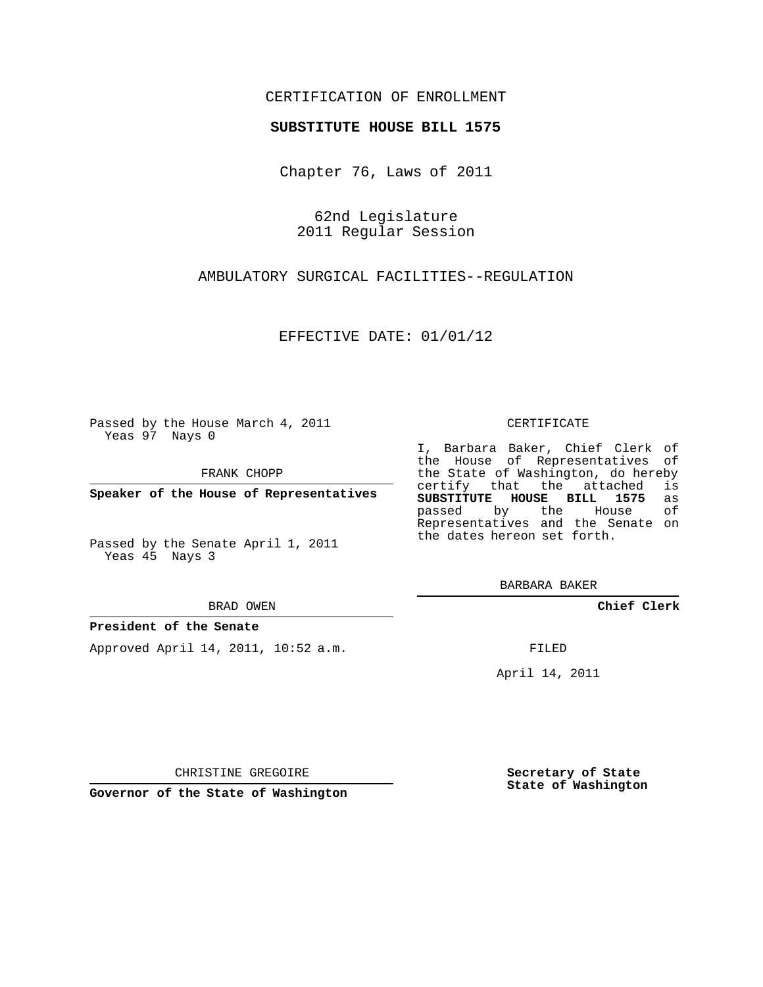## CERTIFICATION OF ENROLLMENT

### **SUBSTITUTE HOUSE BILL 1575**

Chapter 76, Laws of 2011

62nd Legislature 2011 Regular Session

AMBULATORY SURGICAL FACILITIES--REGULATION

EFFECTIVE DATE: 01/01/12

Passed by the House March 4, 2011 Yeas 97 Nays 0

FRANK CHOPP

**Speaker of the House of Representatives**

Passed by the Senate April 1, 2011 Yeas 45 Nays 3

BRAD OWEN

### **President of the Senate**

Approved April 14, 2011, 10:52 a.m.

#### CERTIFICATE

I, Barbara Baker, Chief Clerk of the House of Representatives of the State of Washington, do hereby<br>certify that the attached is certify that the attached **SUBSTITUTE HOUSE BILL 1575** as passed by the House of Representatives and the Senate on the dates hereon set forth.

BARBARA BAKER

**Chief Clerk**

FILED

April 14, 2011

CHRISTINE GREGOIRE

**Governor of the State of Washington**

**Secretary of State State of Washington**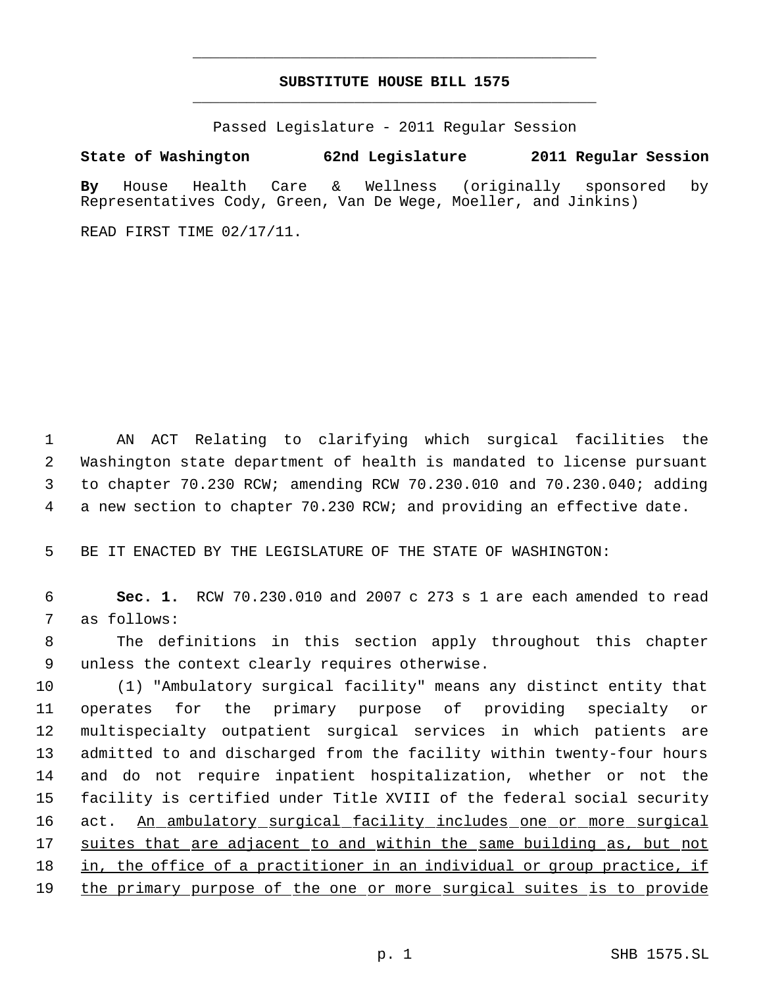# **SUBSTITUTE HOUSE BILL 1575** \_\_\_\_\_\_\_\_\_\_\_\_\_\_\_\_\_\_\_\_\_\_\_\_\_\_\_\_\_\_\_\_\_\_\_\_\_\_\_\_\_\_\_\_\_

\_\_\_\_\_\_\_\_\_\_\_\_\_\_\_\_\_\_\_\_\_\_\_\_\_\_\_\_\_\_\_\_\_\_\_\_\_\_\_\_\_\_\_\_\_

Passed Legislature - 2011 Regular Session

# **State of Washington 62nd Legislature 2011 Regular Session**

**By** House Health Care & Wellness (originally sponsored by Representatives Cody, Green, Van De Wege, Moeller, and Jinkins)

READ FIRST TIME 02/17/11.

 AN ACT Relating to clarifying which surgical facilities the Washington state department of health is mandated to license pursuant to chapter 70.230 RCW; amending RCW 70.230.010 and 70.230.040; adding a new section to chapter 70.230 RCW; and providing an effective date.

5 BE IT ENACTED BY THE LEGISLATURE OF THE STATE OF WASHINGTON:

 6 **Sec. 1.** RCW 70.230.010 and 2007 c 273 s 1 are each amended to read 7 as follows:

 8 The definitions in this section apply throughout this chapter 9 unless the context clearly requires otherwise.

 (1) "Ambulatory surgical facility" means any distinct entity that operates for the primary purpose of providing specialty or multispecialty outpatient surgical services in which patients are admitted to and discharged from the facility within twenty-four hours and do not require inpatient hospitalization, whether or not the facility is certified under Title XVIII of the federal social security 16 act. An ambulatory surgical facility includes one or more surgical suites that are adjacent to and within the same building as, but not 18 in, the office of a practitioner in an individual or group practice, if 19 the primary purpose of the one or more surgical suites is to provide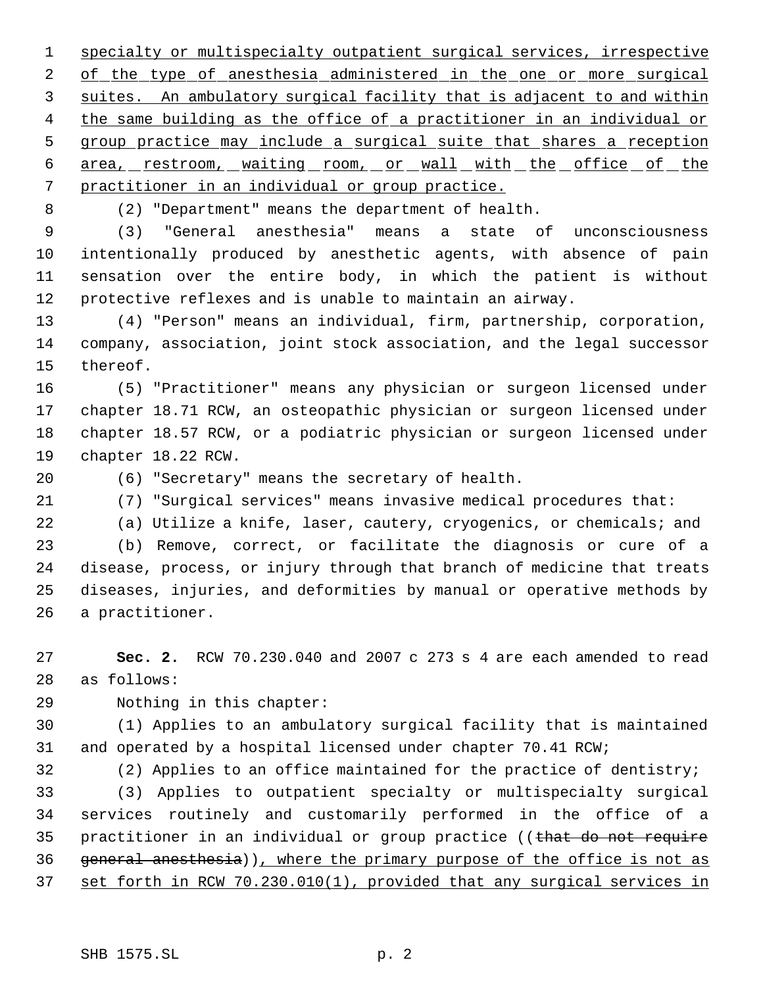specialty or multispecialty outpatient surgical services, irrespective 2 of the type of anesthesia administered in the one or more surgical suites. An ambulatory surgical facility that is adjacent to and within 4 the same building as the office of a practitioner in an individual or group practice may include a surgical suite that shares a reception 6 area, restroom, waiting room, or wall with the office of the practitioner in an individual or group practice.

(2) "Department" means the department of health.

 (3) "General anesthesia" means a state of unconsciousness intentionally produced by anesthetic agents, with absence of pain sensation over the entire body, in which the patient is without protective reflexes and is unable to maintain an airway.

 (4) "Person" means an individual, firm, partnership, corporation, company, association, joint stock association, and the legal successor thereof.

 (5) "Practitioner" means any physician or surgeon licensed under chapter 18.71 RCW, an osteopathic physician or surgeon licensed under chapter 18.57 RCW, or a podiatric physician or surgeon licensed under chapter 18.22 RCW.

(6) "Secretary" means the secretary of health.

(7) "Surgical services" means invasive medical procedures that:

(a) Utilize a knife, laser, cautery, cryogenics, or chemicals; and

 (b) Remove, correct, or facilitate the diagnosis or cure of a disease, process, or injury through that branch of medicine that treats diseases, injuries, and deformities by manual or operative methods by a practitioner.

 **Sec. 2.** RCW 70.230.040 and 2007 c 273 s 4 are each amended to read as follows:

Nothing in this chapter:

 (1) Applies to an ambulatory surgical facility that is maintained and operated by a hospital licensed under chapter 70.41 RCW;

(2) Applies to an office maintained for the practice of dentistry;

 (3) Applies to outpatient specialty or multispecialty surgical services routinely and customarily performed in the office of a 35 practitioner in an individual or group practice ((that do not require 36 general anesthesia)), where the primary purpose of the office is not as set forth in RCW 70.230.010(1), provided that any surgical services in